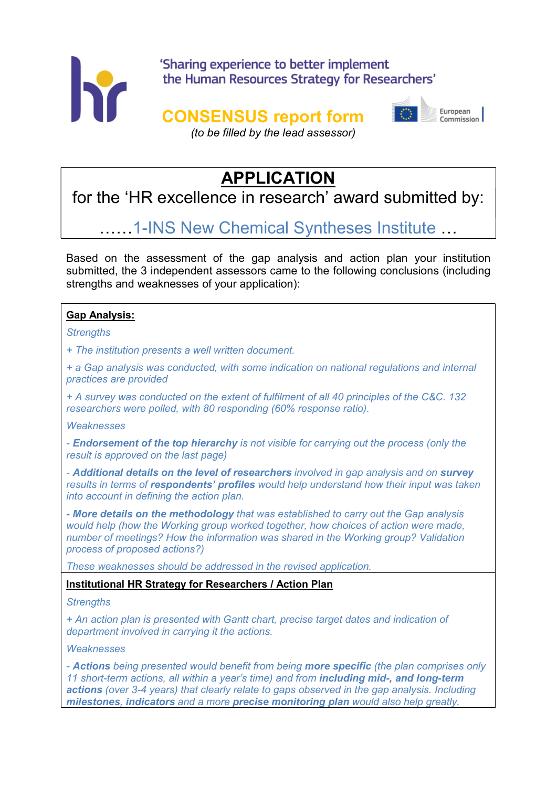

### 'Sharing experience to better implement the Human Resources Strategy for Researchers'

### CONSENSUS report form



Furonean Commission

(to be filled by the lead assessor)

## **APPLICATION**

for the 'HR excellence in research' award submitted by:

# ……1-INS New Chemical Syntheses Institute …

Based on the assessment of the gap analysis and action plan your institution submitted, the 3 independent assessors came to the following conclusions (including strengths and weaknesses of your application):

#### Gap Analysis:

#### **Strengths**

+ The institution presents a well written document.

+ a Gap analysis was conducted, with some indication on national regulations and internal practices are provided

+ A survey was conducted on the extent of fulfilment of all 40 principles of the C&C. 132 researchers were polled, with 80 responding (60% response ratio).

**Weaknesses** 

- Endorsement of the top hierarchy is not visible for carrying out the process (only the result is approved on the last page)

- Additional details on the level of researchers involved in gap analysis and on survey results in terms of respondents' profiles would help understand how their input was taken into account in defining the action plan.

- More details on the methodology that was established to carry out the Gap analysis would help (how the Working group worked together, how choices of action were made, number of meetings? How the information was shared in the Working group? Validation process of proposed actions?)

These weaknesses should be addressed in the revised application.

#### Institutional HR Strategy for Researchers / Action Plan

#### **Strengths**

+ An action plan is presented with Gantt chart, precise target dates and indication of department involved in carrying it the actions.

**Weaknesses** 

- Actions being presented would benefit from being more specific (the plan comprises only 11 short-term actions, all within a year's time) and from including mid-, and long-term actions (over 3-4 years) that clearly relate to gaps observed in the gap analysis. Including milestones, indicators and a more precise monitoring plan would also help greatly.